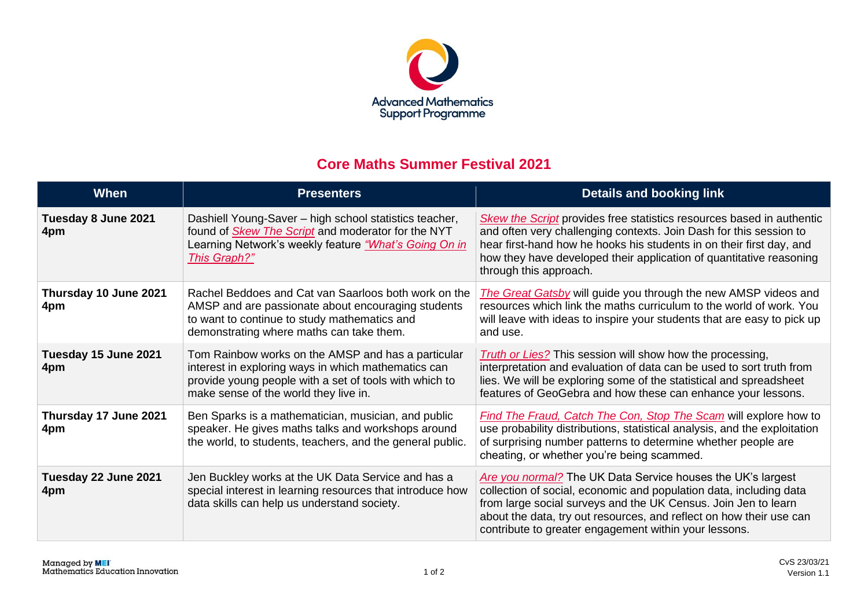

## **Core Maths Summer Festival 2021**

| When                         | <b>Presenters</b>                                                                                                                                                                                            | <b>Details and booking link</b>                                                                                                                                                                                                                                                                                                     |
|------------------------------|--------------------------------------------------------------------------------------------------------------------------------------------------------------------------------------------------------------|-------------------------------------------------------------------------------------------------------------------------------------------------------------------------------------------------------------------------------------------------------------------------------------------------------------------------------------|
| Tuesday 8 June 2021<br>4pm   | Dashiell Young-Saver - high school statistics teacher,<br>found of <i>Skew The Script</i> and moderator for the NYT<br>Learning Network's weekly feature "What's Going On in<br>This Graph?"                 | <b>Skew the Script</b> provides free statistics resources based in authentic<br>and often very challenging contexts. Join Dash for this session to<br>hear first-hand how he hooks his students in on their first day, and<br>how they have developed their application of quantitative reasoning<br>through this approach.         |
| Thursday 10 June 2021<br>4pm | Rachel Beddoes and Cat van Saarloos both work on the<br>AMSP and are passionate about encouraging students<br>to want to continue to study mathematics and<br>demonstrating where maths can take them.       | The Great Gatsby will guide you through the new AMSP videos and<br>resources which link the maths curriculum to the world of work. You<br>will leave with ideas to inspire your students that are easy to pick up<br>and use.                                                                                                       |
| Tuesday 15 June 2021<br>4pm  | Tom Rainbow works on the AMSP and has a particular<br>interest in exploring ways in which mathematics can<br>provide young people with a set of tools with which to<br>make sense of the world they live in. | <b>Truth or Lies?</b> This session will show how the processing,<br>interpretation and evaluation of data can be used to sort truth from<br>lies. We will be exploring some of the statistical and spreadsheet<br>features of GeoGebra and how these can enhance your lessons.                                                      |
| Thursday 17 June 2021<br>4pm | Ben Sparks is a mathematician, musician, and public<br>speaker. He gives maths talks and workshops around<br>the world, to students, teachers, and the general public.                                       | <b>Find The Fraud, Catch The Con, Stop The Scam will explore how to</b><br>use probability distributions, statistical analysis, and the exploitation<br>of surprising number patterns to determine whether people are<br>cheating, or whether you're being scammed.                                                                 |
| Tuesday 22 June 2021<br>4pm  | Jen Buckley works at the UK Data Service and has a<br>special interest in learning resources that introduce how<br>data skills can help us understand society.                                               | Are you normal? The UK Data Service houses the UK's largest<br>collection of social, economic and population data, including data<br>from large social surveys and the UK Census. Join Jen to learn<br>about the data, try out resources, and reflect on how their use can<br>contribute to greater engagement within your lessons. |